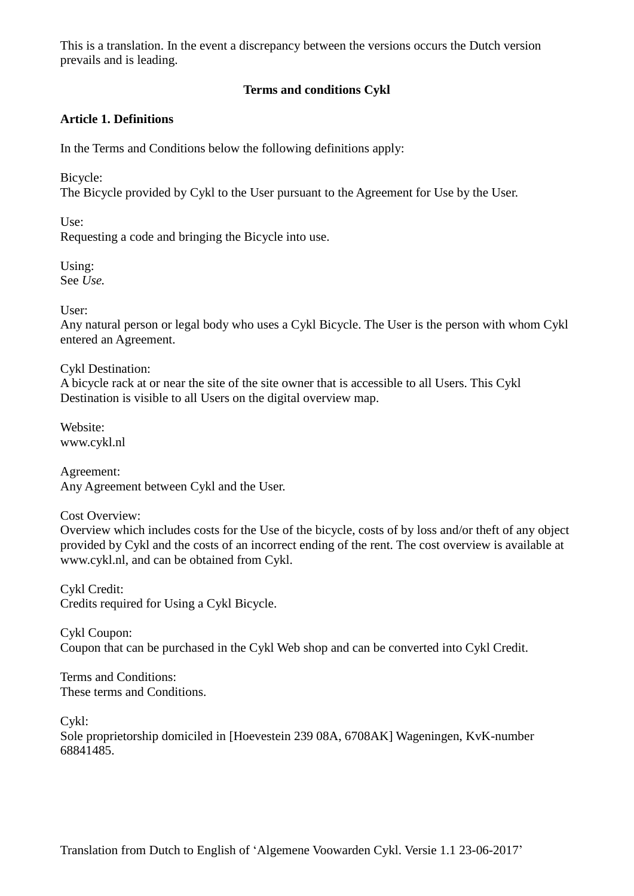## **Terms and conditions Cykl**

### **Article 1. Definitions**

In the Terms and Conditions below the following definitions apply:

Bicycle:

The Bicycle provided by Cykl to the User pursuant to the Agreement for Use by the User.

 $Use:$ 

Requesting a code and bringing the Bicycle into use.

Using: See *Use.*

User:

Any natural person or legal body who uses a Cykl Bicycle. The User is the person with whom Cykl entered an Agreement.

Cykl Destination: A bicycle rack at or near the site of the site owner that is accessible to all Users. This Cykl Destination is visible to all Users on the digital overview map.

Website: www.cykl.nl

Agreement: Any Agreement between Cykl and the User.

Cost Overview:

Overview which includes costs for the Use of the bicycle, costs of by loss and/or theft of any object provided by Cykl and the costs of an incorrect ending of the rent. The cost overview is available at [www.cykl.nl,](http://www.cykl.nl/) and can be obtained from Cykl.

Cykl Credit: Credits required for Using a Cykl Bicycle.

Cykl Coupon: Coupon that can be purchased in the Cykl Web shop and can be converted into Cykl Credit.

Terms and Conditions: These terms and Conditions.

Cykl:

Sole proprietorship domiciled in [Hoevestein 239 08A, 6708AK] Wageningen, KvK-number 68841485.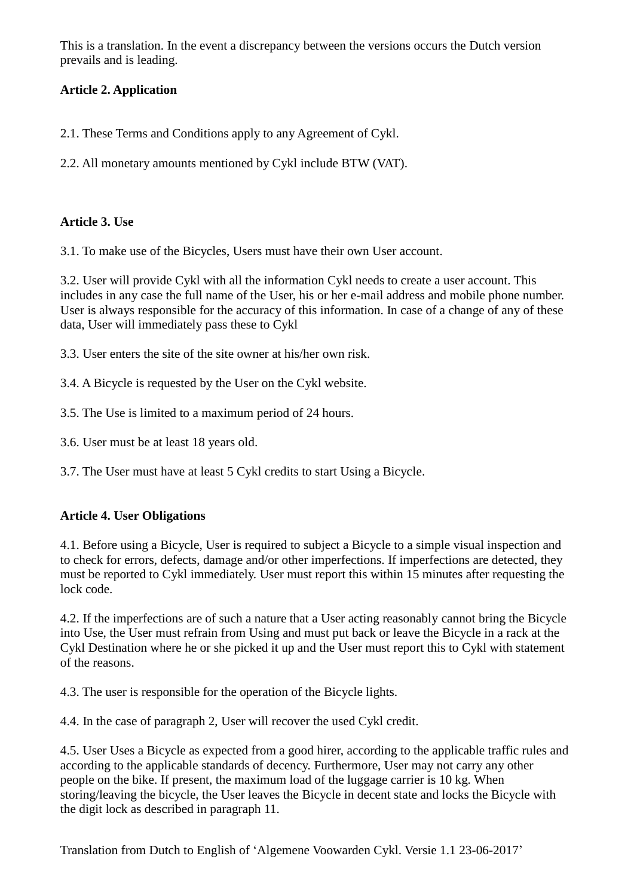# **Article 2. Application**

2.1. These Terms and Conditions apply to any Agreement of Cykl.

2.2. All monetary amounts mentioned by Cykl include BTW (VAT).

## **Article 3. Use**

3.1. To make use of the Bicycles, Users must have their own User account.

3.2. User will provide Cykl with all the information Cykl needs to create a user account. This includes in any case the full name of the User, his or her e-mail address and mobile phone number. User is always responsible for the accuracy of this information. In case of a change of any of these data, User will immediately pass these to Cykl

3.3. User enters the site of the site owner at his/her own risk.

3.4. A Bicycle is requested by the User on the Cykl website.

3.5. The Use is limited to a maximum period of 24 hours.

3.6. User must be at least 18 years old.

3.7. The User must have at least 5 Cykl credits to start Using a Bicycle.

## **Article 4. User Obligations**

4.1. Before using a Bicycle, User is required to subject a Bicycle to a simple visual inspection and to check for errors, defects, damage and/or other imperfections. If imperfections are detected, they must be reported to Cykl immediately. User must report this within 15 minutes after requesting the lock code.

4.2. If the imperfections are of such a nature that a User acting reasonably cannot bring the Bicycle into Use, the User must refrain from Using and must put back or leave the Bicycle in a rack at the Cykl Destination where he or she picked it up and the User must report this to Cykl with statement of the reasons.

4.3. The user is responsible for the operation of the Bicycle lights.

4.4. In the case of paragraph 2, User will recover the used Cykl credit.

4.5. User Uses a Bicycle as expected from a good hirer, according to the applicable traffic rules and according to the applicable standards of decency. Furthermore, User may not carry any other people on the bike. If present, the maximum load of the luggage carrier is 10 kg. When storing/leaving the bicycle, the User leaves the Bicycle in decent state and locks the Bicycle with the digit lock as described in paragraph 11.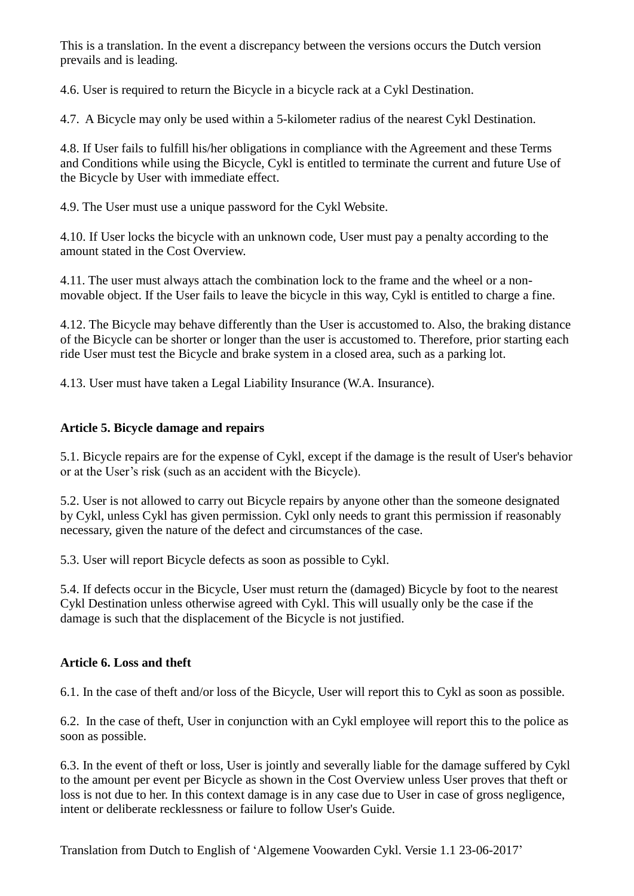4.6. User is required to return the Bicycle in a bicycle rack at a Cykl Destination.

4.7. A Bicycle may only be used within a 5-kilometer radius of the nearest Cykl Destination.

4.8. If User fails to fulfill his/her obligations in compliance with the Agreement and these Terms and Conditions while using the Bicycle, Cykl is entitled to terminate the current and future Use of the Bicycle by User with immediate effect.

4.9. The User must use a unique password for the Cykl Website.

4.10. If User locks the bicycle with an unknown code, User must pay a penalty according to the amount stated in the Cost Overview.

4.11. The user must always attach the combination lock to the frame and the wheel or a nonmovable object. If the User fails to leave the bicycle in this way, Cykl is entitled to charge a fine.

4.12. The Bicycle may behave differently than the User is accustomed to. Also, the braking distance of the Bicycle can be shorter or longer than the user is accustomed to. Therefore, prior starting each ride User must test the Bicycle and brake system in a closed area, such as a parking lot.

4.13. User must have taken a Legal Liability Insurance (W.A. Insurance).

### **Article 5. Bicycle damage and repairs**

5.1. Bicycle repairs are for the expense of Cykl, except if the damage is the result of User's behavior or at the User's risk (such as an accident with the Bicycle).

5.2. User is not allowed to carry out Bicycle repairs by anyone other than the someone designated by Cykl, unless Cykl has given permission. Cykl only needs to grant this permission if reasonably necessary, given the nature of the defect and circumstances of the case.

5.3. User will report Bicycle defects as soon as possible to Cykl.

5.4. If defects occur in the Bicycle, User must return the (damaged) Bicycle by foot to the nearest Cykl Destination unless otherwise agreed with Cykl. This will usually only be the case if the damage is such that the displacement of the Bicycle is not justified.

#### **Article 6. Loss and theft**

6.1. In the case of theft and/or loss of the Bicycle, User will report this to Cykl as soon as possible.

6.2. In the case of theft, User in conjunction with an Cykl employee will report this to the police as soon as possible.

6.3. In the event of theft or loss, User is jointly and severally liable for the damage suffered by Cykl to the amount per event per Bicycle as shown in the Cost Overview unless User proves that theft or loss is not due to her. In this context damage is in any case due to User in case of gross negligence, intent or deliberate recklessness or failure to follow User's Guide.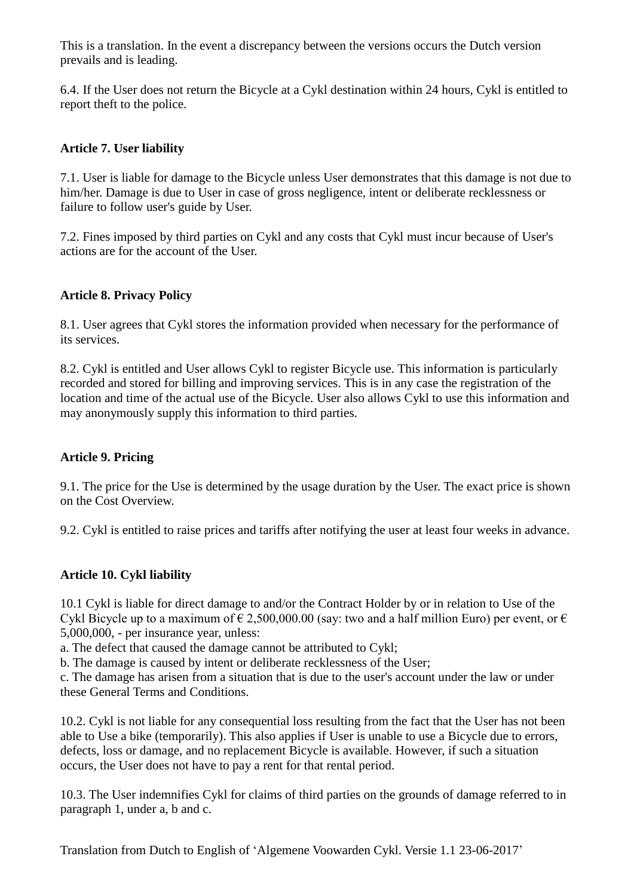6.4. If the User does not return the Bicycle at a Cykl destination within 24 hours, Cykl is entitled to report theft to the police.

### **Article 7. User liability**

7.1. User is liable for damage to the Bicycle unless User demonstrates that this damage is not due to him/her. Damage is due to User in case of gross negligence, intent or deliberate recklessness or failure to follow user's guide by User.

7.2. Fines imposed by third parties on Cykl and any costs that Cykl must incur because of User's actions are for the account of the User.

#### **Article 8. Privacy Policy**

8.1. User agrees that Cykl stores the information provided when necessary for the performance of its services.

8.2. Cykl is entitled and User allows Cykl to register Bicycle use. This information is particularly recorded and stored for billing and improving services. This is in any case the registration of the location and time of the actual use of the Bicycle. User also allows Cykl to use this information and may anonymously supply this information to third parties.

#### **Article 9. Pricing**

9.1. The price for the Use is determined by the usage duration by the User. The exact price is shown on the Cost Overview.

9.2. Cykl is entitled to raise prices and tariffs after notifying the user at least four weeks in advance.

#### **Article 10. Cykl liability**

10.1 Cykl is liable for direct damage to and/or the Contract Holder by or in relation to Use of the Cykl Bicycle up to a maximum of  $\epsilon$  2,500,000.00 (say: two and a half million Euro) per event, or  $\epsilon$ 5,000,000, - per insurance year, unless:

a. The defect that caused the damage cannot be attributed to Cykl;

b. The damage is caused by intent or deliberate recklessness of the User;

c. The damage has arisen from a situation that is due to the user's account under the law or under these General Terms and Conditions.

10.2. Cykl is not liable for any consequential loss resulting from the fact that the User has not been able to Use a bike (temporarily). This also applies if User is unable to use a Bicycle due to errors, defects, loss or damage, and no replacement Bicycle is available. However, if such a situation occurs, the User does not have to pay a rent for that rental period.

10.3. The User indemnifies Cykl for claims of third parties on the grounds of damage referred to in paragraph 1, under a, b and c.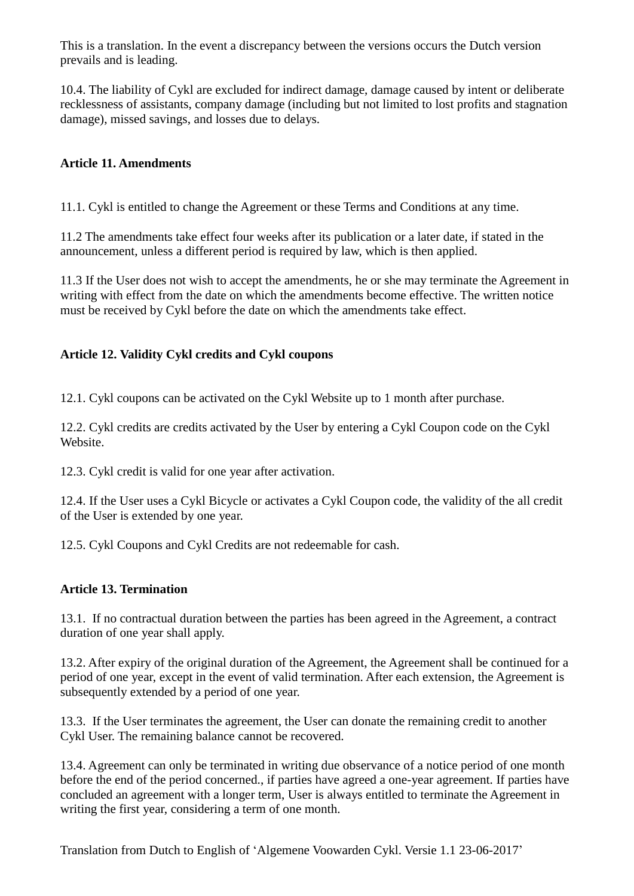10.4. The liability of Cykl are excluded for indirect damage, damage caused by intent or deliberate recklessness of assistants, company damage (including but not limited to lost profits and stagnation damage), missed savings, and losses due to delays.

### **Article 11. Amendments**

11.1. Cykl is entitled to change the Agreement or these Terms and Conditions at any time.

11.2 The amendments take effect four weeks after its publication or a later date, if stated in the announcement, unless a different period is required by law, which is then applied.

11.3 If the User does not wish to accept the amendments, he or she may terminate the Agreement in writing with effect from the date on which the amendments become effective. The written notice must be received by Cykl before the date on which the amendments take effect.

### **Article 12. Validity Cykl credits and Cykl coupons**

12.1. Cykl coupons can be activated on the Cykl Website up to 1 month after purchase.

12.2. Cykl credits are credits activated by the User by entering a Cykl Coupon code on the Cykl Website.

12.3. Cykl credit is valid for one year after activation.

12.4. If the User uses a Cykl Bicycle or activates a Cykl Coupon code, the validity of the all credit of the User is extended by one year.

12.5. Cykl Coupons and Cykl Credits are not redeemable for cash.

#### **Article 13. Termination**

13.1. If no contractual duration between the parties has been agreed in the Agreement, a contract duration of one year shall apply.

13.2. After expiry of the original duration of the Agreement, the Agreement shall be continued for a period of one year, except in the event of valid termination. After each extension, the Agreement is subsequently extended by a period of one year.

13.3. If the User terminates the agreement, the User can donate the remaining credit to another Cykl User. The remaining balance cannot be recovered.

13.4. Agreement can only be terminated in writing due observance of a notice period of one month before the end of the period concerned., if parties have agreed a one-year agreement. If parties have concluded an agreement with a longer term, User is always entitled to terminate the Agreement in writing the first year, considering a term of one month.